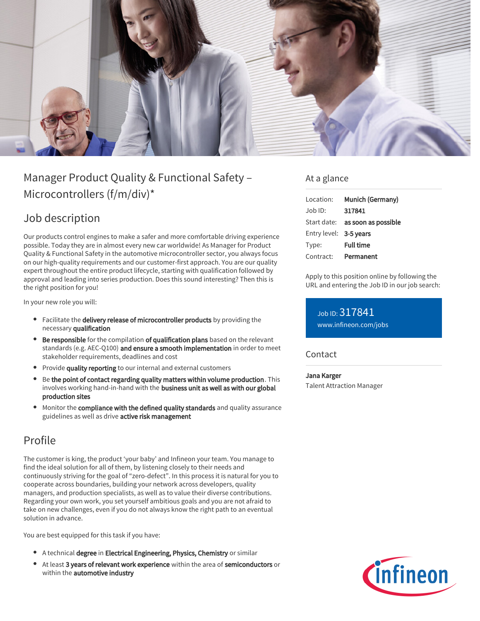

# Manager Product Quality & Functional Safety – Microcontrollers (f/m/div)\*

## Job description

Our products control engines to make a safer and more comfortable driving experience possible. Today they are in almost every new car worldwide! As Manager for Product Quality & Functional Safety in the automotive microcontroller sector, you always focus on our high-quality requirements and our customer-first approach. You are our quality expert throughout the entire product lifecycle, starting with qualification followed by approval and leading into series production. Does this sound interesting? Then this is the right position for you!

In your new role you will:

- Facilitate the delivery release of microcontroller products by providing the necessary qualification
- Be responsible for the compilation of qualification plans based on the relevant standards (e.g. AEC-Q100) and ensure a smooth implementation in order to meet stakeholder requirements, deadlines and cost
- **Provide quality reporting** to our internal and external customers
- Be the point of contact regarding quality matters within volume production. This involves working hand-in-hand with the business unit as well as with our global production sites
- Monitor the compliance with the defined quality standards and quality assurance guidelines as well as drive active risk management

### Profile

The customer is king, the product 'your baby' and Infineon your team. You manage to find the ideal solution for all of them, by listening closely to their needs and continuously striving for the goal of "zero-defect". In this process it is natural for you to cooperate across boundaries, building your network across developers, quality managers, and production specialists, as well as to value their diverse contributions. Regarding your own work, you set yourself ambitious goals and you are not afraid to take on new challenges, even if you do not always know the right path to an eventual solution in advance.

You are best equipped for this task if you have:

- A technical degree in Electrical Engineering, Physics, Chemistry or similar
- At least 3 years of relevant work experience within the area of semiconductors or within the **automotive industry**

### At a glance

| Location:              | Munich (Germany)                       |
|------------------------|----------------------------------------|
| $Job$ ID:              | 317841                                 |
|                        | Start date: <b>as soon as possible</b> |
| Entry level: 3-5 years |                                        |
| Type:                  | <b>Full time</b>                       |
| Contract:              | Permanent                              |

Apply to this position online by following the URL and entering the Job ID in our job search:

Job ID: 317841 [www.infineon.com/jobs](https://www.infineon.com/jobs)

### Contact

#### Jana Karger

Talent Attraction Manager